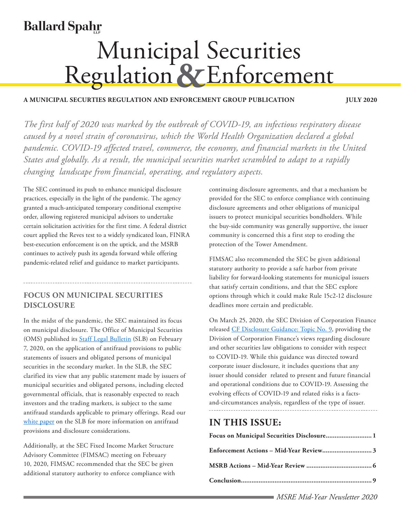# **Ballard Spahr**

# **Municipal Securities<br>Regulation & Enforcement**

#### **A MUNICIPAL SECURTIES REGULATION AND ENFORCEMENT GROUP PUBLICATION JULY 2020**

*The first half of 2020 was marked by the outbreak of COVID-19, an infectious respiratory disease caused by a novel strain of coronavirus, which the World Health Organization declared a global pandemic. COVID-19 affected travel, commerce, the economy, and financial markets in the United States and globally. As a result, the municipal securities market scrambled to adapt to a rapidly changing landscape from financial, operating, and regulatory aspects.*

The SEC continued its push to enhance municipal disclosure practices, especially in the light of the pandemic. The agency granted a much-anticipated temporary conditional exemptive order, allowing registered municipal advisors to undertake certain solicitation activities for the first time. A federal district court applied the Reves test to a widely syndicated loan, FINRA best-execution enforcement is on the uptick, and the MSRB continues to actively push its agenda forward while offering pandemic-related relief and guidance to market participants.

# <span id="page-0-0"></span>**FOCUS ON MUNICIPAL SECURITIES DISCLOSURE**

In the midst of the pandemic, the SEC maintained its focus on municipal disclosure. The Office of Municipal Securities (OMS) published its **[Staff Legal Bulletin](https://www.sec.gov/municipal/application-antifraud-provisions-staff-legal-bulletin-21)** (SLB) on February 7, 2020, on the application of antifraud provisions to public statements of issuers and obligated persons of municipal securities in the secondary market. In the SLB, the SEC clarified its view that any public statement made by issuers of municipal securities and obligated persons, including elected governmental officials, that is reasonably expected to reach investors and the trading markets, is subject to the same antifraud standards applicable to primary offerings. Read our [white paper](https://www.ballardspahr.com/alertspublications/articles/2020-04-07-white-paper-sec-issues-bulletin-on-antifraud-provisions) on the SLB for more information on antifraud provisions and disclosure considerations.

Additionally, at the SEC Fixed Income Market Structure Advisory Committee (FIMSAC) meeting on February 10, 2020, FIMSAC recommended that the SEC be given additional statutory authority to enforce compliance with

continuing disclosure agreements, and that a mechanism be provided for the SEC to enforce compliance with continuing disclosure agreements and other obligations of municipal issuers to protect municipal securities bondholders. While the buy-side community was generally supportive, the issuer community is concerned this a first step to eroding the protection of the Tower Amendment.

FIMSAC also recommended the SEC be given additional statutory authority to provide a safe harbor from private liability for forward-looking statements for municipal issuers that satisfy certain conditions, and that the SEC explore options through which it could make Rule 15c2-12 disclosure deadlines more certain and predictable.

On March 25, 2020, the SEC Division of Corporation Finance released [CF Disclosure Guidance: Topic No. 9,](https://www.sec.gov/corpfin/coronavirus-covid-19) providing the Division of Corporation Finance's views regarding disclosure and other securities law obligations to consider with respect to COVID-19. While this guidance was directed toward corporate issuer disclosure, it includes questions that any issuer should consider related to present and future financial and operational conditions due to COVID-19. Assessing the evolving effects of COVID-19 and related risks is a factsand-circumstances analysis, regardless of the type of issuer.

# **IN THIS ISSUE:**

| Focus on Municipal Securities Disclosure 1 |  |
|--------------------------------------------|--|
|                                            |  |
|                                            |  |
|                                            |  |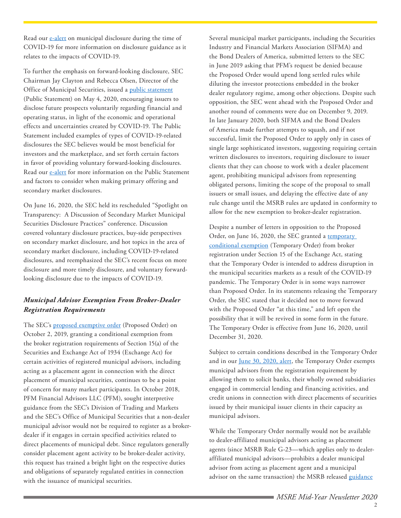Read our [e-alert](https://www.ballardspahr.com/alertspublications/legalalerts/2020-04-08-disclosing-covid-19-risks-and-impacts-in-connection-with-municipal-securities) on municipal disclosure during the time of COVID-19 for more information on disclosure guidance as it relates to the impacts of COVID-19.

To further the emphasis on forward-looking disclosure, SEC Chairman Jay Clayton and Rebecca Olsen, Director of the Office of Municipal Securities, issued a [public statement](https://www.sec.gov/news/public-statement/statement-clayton-olsen-2020-05-04) (Public Statement) on May 4, 2020, encouraging issuers to disclose future prospects voluntarily regarding financial and operating status, in light of the economic and operational effects and uncertainties created by COVID-19. The Public Statement included examples of types of COVID-19-related disclosures the SEC believes would be most beneficial for investors and the marketplace, and set forth certain factors in favor of providing voluntary forward-looking disclosures. Read our [e-alert](https://www.ballardspahr.com/alertspublications/legalalerts/2020-05-06-sec-issues-statement-on-disclosure-in-the-municipal-markets-covid-19) for more information on the Public Statement and factors to consider when making primary offering and secondary market disclosures.

On June 16, 2020, the SEC held its rescheduled "Spotlight on Transparency: A Discussion of Secondary Market Municipal Securities Disclosure Practices" conference. Discussion covered voluntary disclosure practices, buy-side perspectives on secondary market disclosure, and hot topics in the area of secondary market disclosure, including COVID-19-related disclosures, and reemphasized the SEC's recent focus on more disclosure and more timely disclosure, and voluntary forwardlooking disclosure due to the impacts of COVID-19.

#### *Municipal Advisor Exemption From Broker-Dealer Registration Requirements*

The SEC's [proposed exemptive order](https://www.sec.gov/rules/exorders/2019/34-87204.pdf) (Proposed Order) on October 2, 2019, granting a conditional exemption from the broker registration requirements of Section 15(a) of the Securities and Exchange Act of 1934 (Exchange Act) for certain activities of registered municipal advisors, including acting as a placement agent in connection with the direct placement of municipal securities, continues to be a point of concern for many market participants. In October 2018, PFM Financial Advisors LLC (PFM), sought interpretive guidance from the SEC's Division of Trading and Markets and the SEC's Office of Municipal Securities that a non-dealer municipal advisor would not be required to register as a brokerdealer if it engages in certain specified activities related to direct placements of municipal debt. Since regulators generally consider placement agent activity to be broker-dealer activity, this request has trained a bright light on the respective duties and obligations of separately regulated entities in connection with the issuance of municipal securities.

Several municipal market participants, including the Securities Industry and Financial Markets Association (SIFMA) and the Bond Dealers of America, submitted letters to the SEC in June 2019 asking that PFM's request be denied because the Proposed Order would upend long settled rules while diluting the investor protections embedded in the broker dealer regulatory regime, among other objections. Despite such opposition, the SEC went ahead with the Proposed Order and another round of comments were due on December 9, 2019. In late January 2020, both SIFMA and the Bond Dealers of America made further attempts to squash, and if not successful, limit the Proposed Order to apply only in cases of single large sophisticated investors, suggesting requiring certain written disclosures to investors, requiring disclosure to issuer clients that they can choose to work with a dealer placement agent, prohibiting municipal advisors from representing obligated persons, limiting the scope of the proposal to small issuers or small issues, and delaying the effective date of any rule change until the MSRB rules are updated in conformity to allow for the new exemption to broker-dealer registration.

Despite a number of letters in opposition to the Proposed Order, on June 16, 2020, the SEC granted a temporary [conditional exemption](https://www.sec.gov/rules/exorders/2020/34-89074.pdf) (Temporary Order) from broker registration under Section 15 of the Exchange Act, stating that the Temporary Order is intended to address disruption in the municipal securities markets as a result of the COVID-19 pandemic. The Temporary Order is in some ways narrower than Proposed Order. In its statements releasing the Temporary Order, the SEC stated that it decided not to move forward with the Proposed Order "at this time," and left open the possibility that it will be revived in some form in the future. The Temporary Order is effective from June 16, 2020, until December 31, 2020.

Subject to certain conditions described in the Temporary Order and in our [June 30, 2020, alert](https://www.ballardspahr.com/alertspublications/legalalerts/2020-06-22-sec-issues-temporary-order-exempting-municipal-advisors), the Temporary Order exempts municipal advisors from the registration requirement by allowing them to solicit banks, their wholly owned subsidiaries engaged in commercial lending and financing activities, and credit unions in connection with direct placements of securities issued by their municipal issuer clients in their capacity as municipal advisors.

While the Temporary Order normally would not be available to dealer-affiliated municipal advisors acting as placement agents (since MSRB Rule G-23—which applies only to dealeraffiliated municipal advisors—prohibits a dealer municipal advisor from acting as placement agent and a municipal advisor on the same transaction) the MSRB released [guidance](http://msrb.org/regulated-entities/COVID-19-FAQs.aspx)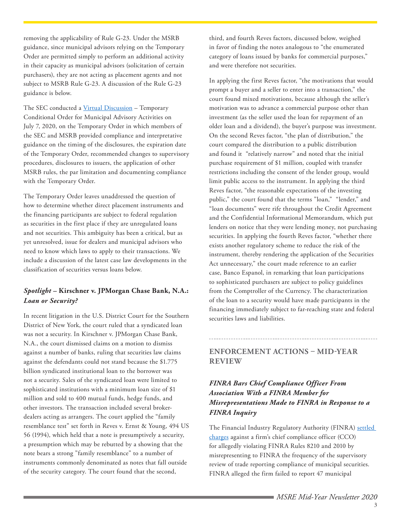removing the applicability of Rule G-23. Under the MSRB guidance, since municipal advisors relying on the Temporary Order are permitted simply to perform an additional activity in their capacity as municipal advisors (solicitation of certain purchasers), they are not acting as placement agents and not subject to MSRB Rule G-23. A discussion of the Rule G-23 guidance is below.

The SEC conducted a [Virtual Discussion](https://www.sec.gov/video/webcast-archive-player.shtml?document_id=tempexorder) – Temporary Conditional Order for Municipal Advisory Activities on July 7, 2020, on the Temporary Order in which members of the SEC and MSRB provided compliance and interpretative guidance on the timing of the disclosures, the expiration date of the Temporary Order, recommended changes to supervisory procedures, disclosures to issuers, the application of other MSRB rules, the par limitation and documenting compliance with the Temporary Order.

The Temporary Order leaves unaddressed the question of how to determine whether direct placement instruments and the financing participants are subject to federal regulation as securities in the first place if they are unregulated loans and not securities. This ambiguity has been a critical, but as yet unresolved, issue for dealers and municipal advisors who need to know which laws to apply to their transactions. We include a discussion of the latest case law developments in the classification of securities versus loans below.

#### *Spotlight –* **Kirschner v. JPMorgan Chase Bank, N.A.:** *Loan or Security?*

In recent litigation in the U.S. District Court for the Southern District of New York, the court ruled that a syndicated loan was not a security. In Kirschner v. JPMorgan Chase Bank, N.A., the court dismissed claims on a motion to dismiss against a number of banks, ruling that securities law claims against the defendants could not stand because the \$1.775 billion syndicated institutional loan to the borrower was not a security. Sales of the syndicated loan were limited to sophisticated institutions with a minimum loan size of \$1 million and sold to 400 mutual funds, hedge funds, and other investors. The transaction included several brokerdealers acting as arrangers. The court applied the "family resemblance test" set forth in Reves v. Ernst & Young, 494 US 56 (1994), which held that a note is presumptively a security, a presumption which may be rebutted by a showing that the note bears a strong "family resemblance" to a number of instruments commonly denominated as notes that fall outside of the security category. The court found that the second,

third, and fourth Reves factors, discussed below, weighed in favor of finding the notes analogous to "the enumerated category of loans issued by banks for commercial purposes," and were therefore not securities.

In applying the first Reves factor, "the motivations that would prompt a buyer and a seller to enter into a transaction," the court found mixed motivations, because although the seller's motivation was to advance a commercial purpose other than investment (as the seller used the loan for repayment of an older loan and a dividend), the buyer's purpose was investment. On the second Reves factor, "the plan of distribution," the court compared the distribution to a public distribution and found it "relatively narrow" and noted that the initial purchase requirement of \$1 million, coupled with transfer restrictions including the consent of the lender group, would limit public access to the instrument. In applying the third Reves factor, "the reasonable expectations of the investing public," the court found that the terms "loan," "lender," and "loan documents" were rife throughout the Credit Agreement and the Confidential Informational Memorandum, which put lenders on notice that they were lending money, not purchasing securities. In applying the fourth Reves factor, "whether there exists another regulatory scheme to reduce the risk of the instrument, thereby rendering the application of the Securities Act unnecessary," the court made reference to an earlier case, Banco Espanol, in remarking that loan participations to sophisticated purchasers are subject to policy guidelines from the Comptroller of the Currency. The characterization of the loan to a security would have made participants in the financing immediately subject to far-reaching state and federal securities laws and liabilities.

# <span id="page-2-0"></span>**ENFORCEMENT ACTIONS – MID-YEAR REVIEW**

### *FINRA Bars Chief Compliance Officer From Association With a FINRA Member for Misrepresentations Made to FINRA in Response to a FINRA Inquiry*

The Financial Industry Regulatory Authority (FINRA) [settled](https://www.finra.org/sites/default/files/fda_documents/2016050912001%20Christopher%20R.%20Barone%20CRD%202032268%20AWC%20sl.pdf)  [charges](https://www.finra.org/sites/default/files/fda_documents/2016050912001%20Christopher%20R.%20Barone%20CRD%202032268%20AWC%20sl.pdf) against a firm's chief compliance officer (CCO) for allegedly violating FINRA Rules 8210 and 2010 by misrepresenting to FINRA the frequency of the supervisory review of trade reporting compliance of municipal securities. FINRA alleged the firm failed to report 47 municipal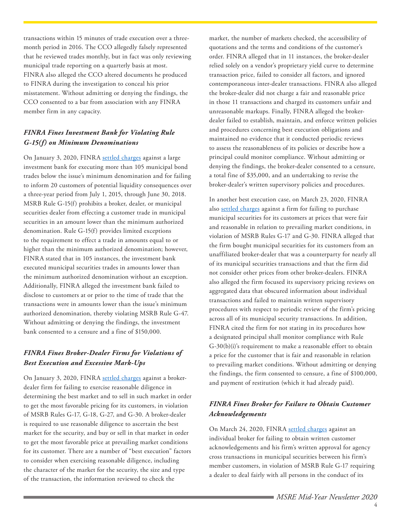transactions within 15 minutes of trade execution over a threemonth period in 2016. The CCO allegedly falsely represented that he reviewed trades monthly, but in fact was only reviewing municipal trade reporting on a quarterly basis at most. FINRA also alleged the CCO altered documents he produced to FINRA during the investigation to conceal his prior misstatement. Without admitting or denying the findings, the CCO consented to a bar from association with any FINRA member firm in any capacity.

#### *FINRA Fines Investment Bank for Violating Rule G-15(f) on Minimum Denominations*

On January 3, 2020, FINRA [settled charges](https://www.finra.org/sites/default/files/fda_documents/2016049250601%20Merrill%20Lynch%2C%20Pierce%2C%20Fenner%20%26%20Smith%20Incorporated%20CRD%207691%20AWC%20va%20%282020-1580689169590%29.pdf) against a large investment bank for executing more than 105 municipal bond trades below the issue's minimum denomination and for failing to inform 20 customers of potential liquidity consequences over a three-year period from July 1, 2015, through June 30, 2018. MSRB Rule G-15(f) prohibits a broker, dealer, or municipal securities dealer from effecting a customer trade in municipal securities in an amount lower than the minimum authorized denomination. Rule G-15(f) provides limited exceptions to the requirement to effect a trade in amounts equal to or higher than the minimum authorized denomination; however, FINRA stated that in 105 instances, the investment bank executed municipal securities trades in amounts lower than the minimum authorized denomination without an exception. Additionally, FINRA alleged the investment bank failed to disclose to customers at or prior to the time of trade that the transactions were in amounts lower than the issue's minimum authorized denomination, thereby violating MSRB Rule G-47. Without admitting or denying the findings, the investment bank consented to a censure and a fine of \$150,000.

#### *FINRA Fines Broker-Dealer Firms for Violations of Best Execution and Excessive Mark-Ups*

On January 3, 2020, FINRA [settled charges](https://www.finra.org/sites/default/files/fda_documents/2017053470801%20Wintrust%20Investments%20LLC%20CRD%20875%20AWC%20va%20%282020-1580689169580%29.pdf) against a brokerdealer firm for failing to exercise reasonable diligence in determining the best market and to sell in such market in order to get the most favorable pricing for its customers, in violation of MSRB Rules G-17, G-18, G-27, and G-30. A broker-dealer is required to use reasonable diligence to ascertain the best market for the security, and buy or sell in that market in order to get the most favorable price at prevailing market conditions for its customer. There are a number of "best execution" factors to consider when exercising reasonable diligence, including the character of the market for the security, the size and type of the transaction, the information reviewed to check the

market, the number of markets checked, the accessibility of quotations and the terms and conditions of the customer's order. FINRA alleged that in 11 instances, the broker-dealer relied solely on a vendor's proprietary yield curve to determine transaction price, failed to consider all factors, and ignored contemporaneous inter-dealer transactions. FINRA also alleged the broker-dealer did not charge a fair and reasonable price in those 11 transactions and charged its customers unfair and unreasonable markups. Finally, FINRA alleged the brokerdealer failed to establish, maintain, and enforce written policies and procedures concerning best execution obligations and maintained no evidence that it conducted periodic reviews to assess the reasonableness of its policies or describe how a principal could monitor compliance. Without admitting or denying the findings, the broker-dealer consented to a censure, a total fine of \$35,000, and an undertaking to revise the broker-dealer's written supervisory policies and procedures.

In another best execution case, on March 23, 2020, FINRA also [settled charges](https://www.finra.org/sites/default/files/fda_documents/2015047927501%20First%20Manhattan%20Co.%20CRD%201845%20AWC%20sl%20%282020-1587687571194%29.pdf) against a firm for failing to purchase municipal securities for its customers at prices that were fair and reasonable in relation to prevailing market conditions, in violation of MSRB Rules G-17 and G-30. FINRA alleged that the firm bought municipal securities for its customers from an unaffiliated broker-dealer that was a counterparty for nearly all of its municipal securities transactions and that the firm did not consider other prices from other broker-dealers. FINRA also alleged the firm focused its supervisory pricing reviews on aggregated data that obscured information about individual transactions and failed to maintain written supervisory procedures with respect to periodic review of the firm's pricing across all of its municipal security transactions. In addition, FINRA cited the firm for not stating in its procedures how a designated principal shall monitor compliance with Rule G-30(b)(i)'s requirement to make a reasonable effort to obtain a price for the customer that is fair and reasonable in relation to prevailing market conditions. Without admitting or denying the findings, the firm consented to censure, a fine of \$100,000, and payment of restitution (which it had already paid).

#### *FINRA Fines Broker for Failure to Obtain Customer Acknowledgements*

On March 24, 2020, FINRA [settled charges](https://www.finra.org/sites/default/files/fda_documents/2018057286801%20Charles%20Henry%20Postel%20CRD%201478786%20AWC%20sl%20%282020-1587773969399%29.pdf) against an individual broker for failing to obtain written customer acknowledgements and his firm's written approval for agency cross transactions in municipal securities between his firm's member customers, in violation of MSRB Rule G-17 requiring a dealer to deal fairly with all persons in the conduct of its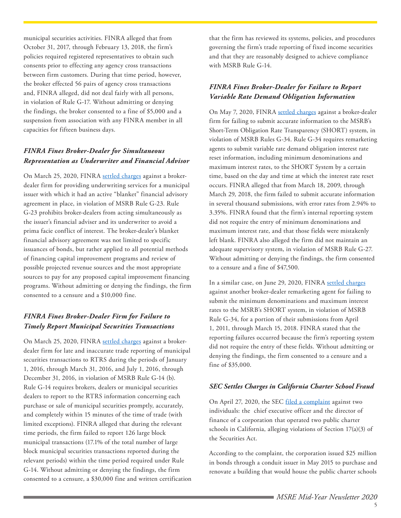municipal securities activities. FINRA alleged that from October 31, 2017, through February 13, 2018, the firm's policies required registered representatives to obtain such consents prior to effecting any agency cross transactions between firm customers. During that time period, however, the broker effected 56 pairs of agency cross transactions and, FINRA alleged, did not deal fairly with all persons, in violation of Rule G-17. Without admitting or denying the findings, the broker consented to a fine of \$5,000 and a suspension from association with any FINRA member in all capacities for fifteen business days.

#### *FINRA Fines Broker-Dealer for Simultaneous Representation as Underwriter and Financial Advisor*

On March 25, 2020, FINRA [settled charges](https://www.finra.org/sites/default/files/fda_documents/2018056443101%20Ameritas%20Investment%20Company%2C%20LLC%20CRD%2014869%20AWC%20va%20%282020-1587773968833%29.pdf) against a brokerdealer firm for providing underwriting services for a municipal issuer with which it had an active "blanket" financial advisory agreement in place, in violation of MSRB Rule G-23. Rule G-23 prohibits broker-dealers from acting simultaneously as the issuer's financial adviser and its underwriter to avoid a prima facie conflict of interest. The broker-dealer's blanket financial advisory agreement was not limited to specific issuances of bonds, but rather applied to all potential methods of financing capital improvement programs and review of possible projected revenue sources and the most appropriate sources to pay for any proposed capital improvement financing programs. Without admitting or denying the findings, the firm consented to a censure and a \$10,000 fine.

#### *FINRA Fines Broker-Dealer Firm for Failure to Timely Report Municipal Securities Transactions*

On March 25, 2020, FINRA [settled charges](https://www.finra.org/sites/default/files/fda_documents/2015047758201%20Morgan%20Stanley%20Smith%20Barney%20LLC%20CRD%20149777%20AWC%20va%20%20%282020-1587860370444%29.pdf) against a brokerdealer firm for late and inaccurate trade reporting of municipal securities transactions to RTRS during the periods of January 1, 2016, through March 31, 2016, and July 1, 2016, through December 31, 2016, in violation of MSRB Rule G-14 (b). Rule G-14 requires brokers, dealers or municipal securities dealers to report to the RTRS information concerning each purchase or sale of municipal securities promptly, accurately, and completely within 15 minutes of the time of trade (with limited exceptions). FINRA alleged that during the relevant time periods, the firm failed to report 126 large block municipal transactions (17.1% of the total number of large block municipal securities transactions reported during the relevant periods) within the time period required under Rule G-14. Without admitting or denying the findings, the firm consented to a censure, a \$30,000 fine and written certification

that the firm has reviewed its systems, policies, and procedures governing the firm's trade reporting of fixed income securities and that they are reasonably designed to achieve compliance with MSRB Rule G-14.

#### *FINRA Fines Broker-Dealer for Failure to Report Variable Rate Demand Obligation Information*

On May 7, 2020, FINRA [settled charges](https://www.finra.org/sites/default/files/fda_documents/2018057742501%20BB%26T%20Securities%2C%20LLC%20CRD%20142785%20AWC%20sl%20%282020-1591489169269%29.pdf) against a broker-dealer firm for failing to submit accurate information to the MSRB's Short-Term Obligation Rate Transparency (SHORT) system, in violation of MSRB Rules G-34. Rule G-34 requires remarketing agents to submit variable rate demand obligation interest rate reset information, including minimum denominations and maximum interest rates, to the SHORT System by a certain time, based on the day and time at which the interest rate reset occurs. FINRA alleged that from March 18, 2009, through March 29, 2018, the firm failed to submit accurate information in several thousand submissions, with error rates from 2.94% to 3.35%. FINRA found that the firm's internal reporting system did not require the entry of minimum denominations and maximum interest rate, and that those fields were mistakenly left blank. FINRA also alleged the firm did not maintain an adequate supervisory system, in violation of MSRB Rule G-27. Without admitting or denying the findings, the firm consented to a censure and a fine of \$47,500.

In a similar case, on June 29, 2020, FINRA [settled charges](https://www.finra.org/sites/default/files/fda_documents/2018057742501%20BB%26T%20Securities%2C%20LLC%20CRD%20142785%20AWC%20sl%20%282020-1591489169269%29.pdf) against another broker-dealer remarketing agent for failing to submit the minimum denominations and maximum interest rates to the MSRB's SHORT system, in violation of MSRB Rule G-34, for a portion of their submissions from April 1, 2011, through March 15, 2018. FINRA stated that the reporting failures occurred because the firm's reporting system did not require the entry of these fields. Without admitting or denying the findings, the firm consented to a censure and a fine of \$35,000.

#### *SEC Settles Charges in California Charter School Fraud*

On April 27, 2020, the SEC [filed a complaint](https://www.sec.gov/litigation/complaints/2020/comp24806.pdf) against two individuals: the chief executive officer and the director of finance of a corporation that operated two public charter schools in California, alleging violations of Section 17(a)(3) of the Securities Act.

According to the complaint, the corporation issued \$25 million in bonds through a conduit issuer in May 2015 to purchase and renovate a building that would house the public charter schools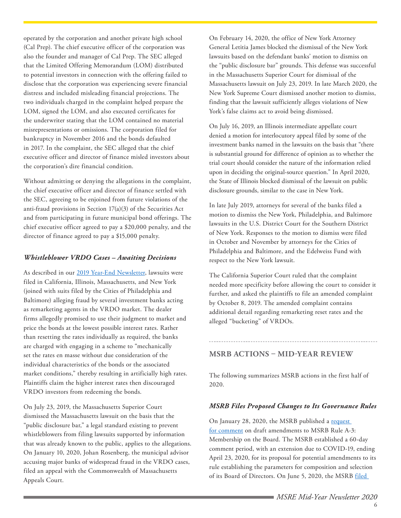operated by the corporation and another private high school (Cal Prep). The chief executive officer of the corporation was also the founder and manager of Cal Prep. The SEC alleged that the Limited Offering Memorandum (LOM) distributed to potential investors in connection with the offering failed to disclose that the corporation was experiencing severe financial distress and included misleading financial projections. The two individuals charged in the complaint helped prepare the LOM, signed the LOM, and also executed certificates for the underwriter stating that the LOM contained no material misrepresentations or omissions. The corporation filed for bankruptcy in November 2016 and the bonds defaulted in 2017. In the complaint, the SEC alleged that the chief executive officer and director of finance misled investors about the corporation's dire financial condition.

Without admitting or denying the allegations in the complaint, the chief executive officer and director of finance settled with the SEC, agreeing to be enjoined from future violations of the anti-fraud provisions in Section 17(a)(3) of the Securities Act and from participating in future municipal bond offerings. The chief executive officer agreed to pay a \$20,000 penalty, and the director of finance agreed to pay a \$15,000 penalty.

#### *Whistleblower VRDO Cases – Awaiting Decisions*

As described in our [2019 Year-End Newsletter](https://www.ballardspahr.com/-/media/files/brochures/msre-year-in-review-2019---jan-2020.pdf?la=en&hash=A259CBAC6AF55823DDDBA4797FA6384F), lawsuits were filed in California, Illinois, Massachusetts, and New York (joined with suits filed by the Cities of Philadelphia and Baltimore) alleging fraud by several investment banks acting as remarketing agents in the VRDO market. The dealer firms allegedly promised to use their judgment to market and price the bonds at the lowest possible interest rates. Rather than resetting the rates individually as required, the banks are charged with engaging in a scheme to "mechanically set the rates en masse without due consideration of the individual characteristics of the bonds or the associated market conditions," thereby resulting in artificially high rates. Plaintiffs claim the higher interest rates then discouraged VRDO investors from redeeming the bonds.

On July 23, 2019, the Massachusetts Superior Court dismissed the Massachusetts lawsuit on the basis that the "public disclosure bar," a legal standard existing to prevent whistleblowers from filing lawsuits supported by information that was already known to the public, applies to the allegations. On January 10, 2020, Johan Rosenberg, the municipal advisor accusing major banks of widespread fraud in the VRDO cases, filed an appeal with the Commonwealth of Massachusetts Appeals Court.

On February 14, 2020, the office of New York Attorney General Letitia James blocked the dismissal of the New York lawsuits based on the defendant banks' motion to dismiss on the "public disclosure bar" grounds. This defense was successful in the Massachusetts Superior Court for dismissal of the Massachusetts lawsuit on July 23, 2019. In late March 2020, the New York Supreme Court dismissed another motion to dismiss, finding that the lawsuit sufficiently alleges violations of New York's false claims act to avoid being dismissed.

On July 16, 2019, an Illinois intermediate appellate court denied a motion for interlocutory appeal filed by some of the investment banks named in the lawsuits on the basis that "there is substantial ground for difference of opinion as to whether the trial court should consider the nature of the information relied upon in deciding the original-source question." In April 2020, the State of Illinois blocked dismissal of the lawsuit on public disclosure grounds, similar to the case in New York.

In late July 2019, attorneys for several of the banks filed a motion to dismiss the New York, Philadelphia, and Baltimore lawsuits in the U.S. District Court for the Southern District of New York. Responses to the motion to dismiss were filed in October and November by attorneys for the Cities of Philadelphia and Baltimore, and the Edelweiss Fund with respect to the New York lawsuit.

The California Superior Court ruled that the complaint needed more specificity before allowing the court to consider it further, and asked the plaintiffs to file an amended complaint by October 8, 2019. The amended complaint contains additional detail regarding remarketing reset rates and the alleged "bucketing" of VRDOs.

#### <span id="page-5-0"></span>**MSRB ACTIONS – MID-YEAR REVIEW**

The following summarizes MSRB actions in the first half of 2020.

#### *MSRB Files Proposed Changes to Its Governance Rules*

On January 28, 2020, the MSRB published a request [for comment](http://www.msrb.org/~/media/Files/Regulatory-Notices/RFCs/2020-02.ashx??n=1) on draft amendments to MSRB Rule A-3: Membership on the Board. The MSRB established a 60-day comment period, with an extension due to COVID-19, ending April 23, 2020, for its proposal for potential amendments to its rule establishing the parameters for composition and selection of its Board of Directors. On June 5, 2020, the MSRB [filed](http://msrb.org/~/media/Files/SEC-Filings/2020/MSRB-2020-04.ashx?la=en)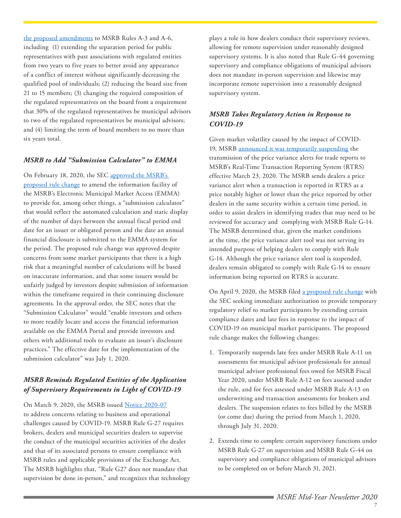[the proposed amendments](http://msrb.org/~/media/Files/SEC-Filings/2020/MSRB-2020-04.ashx?la=en) to MSRB Rules A-3 and A-6, including (1) extending the separation period for public representatives with past associations with regulated entities from two years to five years to better avoid any appearance of a conflict of interest without significantly decreasing the qualified pool of individuals; (2) reducing the board size from 21 to 15 members; (3) changing the required composition of the regulated representatives on the board from a requirement that 30% of the regulated representatives be municipal advisors to two of the regulated representatives be municipal advisors; and (4) limiting the term of board members to no more than six years total.

#### *MSRB to Add "Submission Calculator" to EMMA*

On February 18, 2020, the SEC approved the MSRB's [proposed rule change](https://www.sec.gov/rules/sro/msrb/2020/34-88225.pdf) to amend the information facility of the MSRB's Electronic Municipal Market Access (EMMA) to provide for, among other things, a "submission calculator" that would reflect the automated calculation and static display of the number of days between the annual fiscal period end date for an issuer or obligated person and the date an annual financial disclosure is submitted to the EMMA system for the period. The proposed rule change was approved despite concerns from some market participants that there is a high risk that a meaningful number of calculations will be based on inaccurate information, and that some issuers would be unfairly judged by investors despite submission of information within the timeframe required in their continuing disclosure agreements. In the approval order, the SEC notes that the "Submission Calculator" would "enable investors and others to more readily locate and access the financial information available on the EMMA Portal and provide investors and others with additional tools to evaluate an issuer's disclosure practices." The effective date for the implementation of the submission calculator" was July 1, 2020.

#### *MSRB Reminds Regulated Entities of the Application of Supervisory Requirements in Light of COVID-19*

On March 9, 2020, the MSRB issued [Notice 2020-07](http://msrb.org/~/media/Files/Regulatory-Notices/Announcements/2020-07.ashx??n=1) to address concerns relating to business and operational challenges caused by COVID-19. MSRB Rule G-27 requires brokers, dealers and municipal securities dealers to supervise the conduct of the municipal securities activities of the dealer and that of its associated persons to ensure compliance with MSRB rules and applicable provisions of the Exchange Act. The MSRB highlights that, "Rule G27 does not mandate that supervision be done in-person," and recognizes that technology

plays a role in how dealers conduct their supervisory reviews, allowing for remote supervision under reasonably designed supervisory systems. It is also noted that Rule G-44 governing supervisory and compliance obligations of municipal advisors does not mandate in-person supervision and likewise may incorporate remote supervision into a reasonably designed supervisory system.

#### *MSRB Takes Regulatory Action in Response to COVID-19*

Given market volatility caused by the impact of COVID-19, MSRB [announced it was temporarily suspending](https://content.govdelivery.com/accounts/VAORGMSRB/bulletins/282c840) the transmission of the price variance alerts for trade reports to MSRB's Real-Time Transaction Reporting System (RTRS) effective March 23, 2020. The MSRB sends dealers a price variance alert when a transaction is reported in RTRS as a price notably higher or lower than the price reported by other dealers in the same security within a certain time period, in order to assist dealers in identifying trades that may need to be reviewed for accuracy and complying with MSRB Rule G-14. The MSRB determined that, given the market conditions at the time, the price variance alert tool was not serving its intended purpose of helping dealers to comply with Rule G-14. Although the price variance alert tool is suspended, dealers remain obligated to comply with Rule G-14 to ensure information being reported on RTRS is accurate.

On April 9, 2020, the MSRB filed [a proposed rule change](http://msrb.org/~/media/Files/Regulatory-Notices/Announcements/2020-09.ashx??n=1) with the SEC seeking immediate authorization to provide temporary regulatory relief to market participants by extending certain compliance dates and late fees in response to the impact of COVID-19 on municipal market participants. The proposed rule change makes the following changes:

- 1. Temporarily suspends late fees under MSRB Rule A-11 on assessments for municipal advisor professionals for annual municipal advisor professional fees owed for MSRB Fiscal Year 2020, under MSRB Rule A-12 on fees assessed under the rule, and for fees assessed under MSRB Rule A-13 on underwriting and transaction assessments for brokers and dealers. The suspension relates to fees billed by the MSRB (or come due) during the period from March 1, 2020, through July 31, 2020.
- 2. Extends time to complete certain supervisory functions under MSRB Rule G-27 on supervision and MSRB Rule G-44 on supervisory and compliance obligations of municipal advisors to be completed on or before March 31, 2021.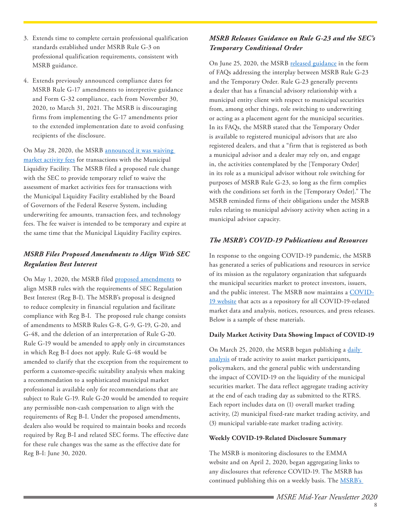- 3. Extends time to complete certain professional qualification standards established under MSRB Rule G-3 on professional qualification requirements, consistent with MSRB guidance.
- 4. Extends previously announced compliance dates for MSRB Rule G-17 amendments to interpretive guidance and Form G-32 compliance, each from November 30, 2020, to March 31, 2021. The MSRB is discouraging firms from implementing the G-17 amendments prior to the extended implementation date to avoid confusing recipients of the disclosure.

On May 28, 2020, the MSRB [announced it was waiving](http://msrb.org/~/media/Files/Regulatory-Notices/Announcements/2020-11.ashx?la=en)  [market activity fees](http://msrb.org/~/media/Files/Regulatory-Notices/Announcements/2020-11.ashx?la=en) for transactions with the Municipal Liquidity Facility. The MSRB filed a proposed rule change with the SEC to provide temporary relief to waive the assessment of market activities fees for transactions with the Municipal Liquidity Facility established by the Board of Governors of the Federal Reserve System, including underwriting fee amounts, transaction fees, and technology fees. The fee waiver is intended to be temporary and expire at the same time that the Municipal Liquidity Facility expires.

# *MSRB Files Proposed Amendments to Align With SEC Regulation Best Interest*

On May 1, 2020, the MSRB filed [proposed amendments](http://www.msrb.org/~/media/Files/SEC-Filings/2020/MSRB-2020-02.ashx?) to align MSRB rules with the requirements of SEC Regulation Best Interest (Reg B-I). The MSRB's proposal is designed to reduce complexity in financial regulation and facilitate compliance with Reg B-I. The proposed rule change consists of amendments to MSRB Rules G-8, G-9, G-19, G-20, and G-48, and the deletion of an interpretation of Rule G-20. Rule G-19 would be amended to apply only in circumstances in which Reg B-I does not apply. Rule G-48 would be amended to clarify that the exception from the requirement to perform a customer-specific suitability analysis when making a recommendation to a sophisticated municipal market professional is available only for recommendations that are subject to Rule G-19. Rule G-20 would be amended to require any permissible non-cash compensation to align with the requirements of Reg B-I. Under the proposed amendments, dealers also would be required to maintain books and records required by Reg B-I and related SEC forms. The effective date for these rule changes was the same as the effective date for Reg B-I: June 30, 2020.

# *MSRB Releases Guidance on Rule G-23 and the SEC's Temporary Conditional Order*

On June 25, 2020, the MSRB [released guidance](http://msrb.org/regulated-entities/COVID-19-FAQs.aspx) in the form of FAQs addressing the interplay between MSRB Rule G-23 and the Temporary Order. Rule G-23 generally prevents a dealer that has a financial advisory relationship with a municipal entity client with respect to municipal securities from, among other things, role switching to underwriting or acting as a placement agent for the municipal securities. In its FAQs, the MSRB stated that the Temporary Order is available to registered municipal advisors that are also registered dealers, and that a "firm that is registered as both a municipal advisor and a dealer may rely on, and engage in, the activities contemplated by the [Temporary Order] in its role as a municipal advisor without role switching for purposes of MSRB Rule G-23, so long as the firm complies with the conditions set forth in the [Temporary Order]." The MSRB reminded firms of their obligations under the MSRB rules relating to municipal advisory activity when acting in a municipal advisor capacity.

#### *The MSRB's COVID-19 Publications and Resources*

In response to the ongoing COVID-19 pandemic, the MSRB has generated a series of publications and resources in service of its mission as the regulatory organization that safeguards the municipal securities market to protect investors, issuers, and the public interest. The MSRB now maintains a [COVID-](http://msrb.org/News-and-Events/COVID-19-Information.aspx)[19 website](http://msrb.org/News-and-Events/COVID-19-Information.aspx) that acts as a repository for all COVID-19-related market data and analysis, notices, resources, and press releases. Below is a sample of these materials.

#### **Daily Market Activity Data Showing Impact of COVID-19**

On March 25, 2020, the MSRB began publishing a daily [analysis](http://www.msrb.org/msrb1/pdfs/Municipal-Securities-Market-Trading-Summary.pdf) of trade activity to assist market participants, policymakers, and the general public with understanding the impact of COVID-19 on the liquidity of the municipal securities market. The data reflect aggregate trading activity at the end of each trading day as submitted to the RTRS. Each report includes data on (1) overall market trading activity, (2) municipal fixed-rate market trading activity, and (3) municipal variable-rate market trading activity.

#### **Weekly COVID-19-Related Disclosure Summary**

The MSRB is monitoring disclosures to the EMMA website and on April 2, 2020, began aggregating links to any disclosures that reference COVID-19. The MSRB has continued publishing this on a weekly basis. The MSRB's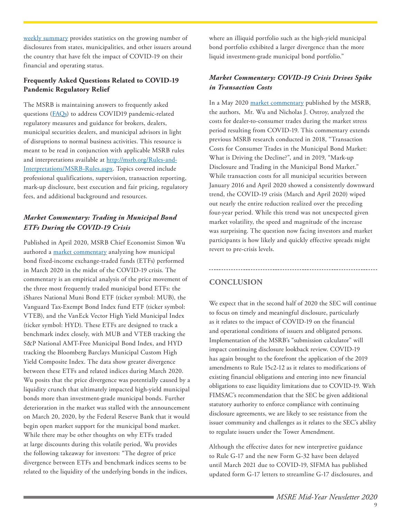[weekly summary](http://www.msrb.org/msrb1/pdfs/Municipal-Securities-Market-COVID-19-Related-Disclosure-Summary.pdf) provides statistics on the growing number of disclosures from states, municipalities, and other issuers around the country that have felt the impact of COVID-19 on their financial and operating status.

#### **Frequently Asked Questions Related to COVID-19 Pandemic Regulatory Relief**

The MSRB is maintaining answers to frequently asked questions ([FAQs\)](http://msrb.org/News-and-Events/~/link.aspx?_id=D44A4970C61F4302A914CA7BF21A1F8D&_z=z) to address COVID19 pandemic-related regulatory measures and guidance for brokers, dealers, municipal securities dealers, and municipal advisors in light of disruptions to normal business activities. This resource is meant to be read in conjunction with applicable MSRB rules and interpretations available at [http://msrb.org/Rules-and-](http://msrb.org/Rules-and-Interpretations/MSRB-Rules.aspx)[Interpretations/MSRB-Rules.aspx](http://msrb.org/Rules-and-Interpretations/MSRB-Rules.aspx). Topics covered include professional qualifications, supervision, transaction reporting, mark-up disclosure, best execution and fair pricing, regulatory fees, and additional background and resources.

#### *Market Commentary: Trading in Municipal Bond ETFs During the COVID-19 Crisis*

Published in April 2020, MSRB Chief Economist Simon Wu authored a [market commentary](http://msrb.org/News-and-Events/~/media/DC2BD6ED3DE14E4DB9C6D5E7A3E1DFFE.ashx?) analyzing how municipal bond fixed-income exchange-traded funds (ETFs) performed in March 2020 in the midst of the COVID-19 crisis. The commentary is an empirical analysis of the price movement of the three most frequently traded municipal bond ETFs: the iShares National Muni Bond ETF (ticker symbol: MUB), the Vanguard Tax-Exempt Bond Index fund ETF (ticker symbol: VTEB), and the VanEck Vector High Yield Municipal Index (ticker symbol: HYD). These ETFs are designed to track a benchmark index closely, with MUB and VTEB tracking the S&P National AMT-Free Municipal Bond Index, and HYD tracking the Bloomberg Barclays Municipal Custom High Yield Composite Index. The data show greater divergence between these ETFs and related indices during March 2020. Wu posits that the price divergence was potentially caused by a liquidity crunch that ultimately impacted high-yield municipal bonds more than investment-grade municipal bonds. Further deterioration in the market was stalled with the announcement on March 20, 2020, by the Federal Reserve Bank that it would begin open market support for the municipal bond market. While there may be other thoughts on why ETFs traded at large discounts during this volatile period, Wu provides the following takeaway for investors: "The degree of price divergence between ETFs and benchmark indices seems to be related to the liquidity of the underlying bonds in the indices,

where an illiquid portfolio such as the high-yield municipal bond portfolio exhibited a larger divergence than the more liquid investment-grade municipal bond portfolio."

#### *Market Commentary: COVID-19 Crisis Drives Spike in Transaction Costs*

In a May 2020 [market commentary](http://msrb.org/News-and-Events/~/media/E6280A5297DD422FA67F1E38DB8D34BE.ashx?) published by the MSRB, the authors, Mr. Wu and Nicholas J. Ostroy, analyzed the costs for dealer-to-consumer trades during the market stress period resulting from COVID-19. This commentary extends previous MSRB research conducted in 2018, "Transaction Costs for Consumer Trades in the Municipal Bond Market: What is Driving the Decline?", and in 2019, "Mark-up Disclosure and Trading in the Municipal Bond Market." While transaction costs for all municipal securities between January 2016 and April 2020 showed a consistently downward trend, the COVID-19 crisis (March and April 2020) wiped out nearly the entire reduction realized over the preceding four-year period. While this trend was not unexpected given market volatility, the speed and magnitude of the increase was surprising. The question now facing investors and market participants is how likely and quickly effective spreads might revert to pre-crisis levels.

# <span id="page-8-0"></span>**CONCLUSION**

We expect that in the second half of 2020 the SEC will continue to focus on timely and meaningful disclosure, particularly as it relates to the impact of COVID-19 on the financial and operational conditions of issuers and obligated persons. Implementation of the MSRB's "submission calculator" will impact continuing disclosure lookback review. COVID-19 has again brought to the forefront the application of the 2019 amendments to Rule 15c2-12 as it relates to modifications of existing financial obligations and entering into new financial obligations to ease liquidity limitations due to COVID-19. With FIMSAC's recommendation that the SEC be given additional statutory authority to enforce compliance with continuing disclosure agreements, we are likely to see resistance from the issuer community and challenges as it relates to the SEC's ability to regulate issuers under the Tower Amendment.

Although the effective dates for new interpretive guidance to Rule G-17 and the new Form G-32 have been delayed until March 2021 due to COVID-19, SIFMA has published updated form G-17 letters to streamline G-17 disclosures, and